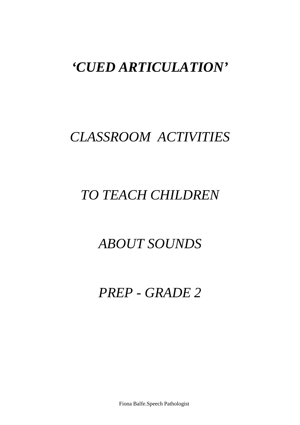# *'CUED ARTICULATION'*

# *CLASSROOM ACTIVITIES*

# *TO TEACH CHILDREN*

# *ABOUT SOUNDS*

# *PREP - GRADE 2*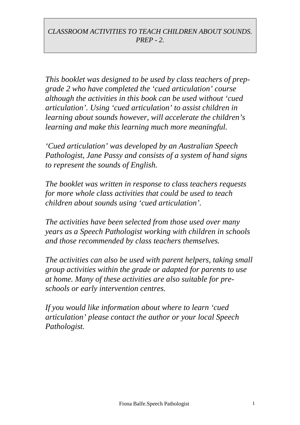*This booklet was designed to be used by class teachers of prepgrade 2 who have completed the 'cued articulation' course although the activities in this book can be used without 'cued articulation'. Using 'cued articulation' to assist children in learning about sounds however, will accelerate the children's learning and make this learning much more meaningful.*

*'Cued articulation' was developed by an Australian Speech Pathologist, Jane Passy and consists of a system of hand signs to represent the sounds of English.*

*The booklet was written in response to class teachers requests for more whole class activities that could be used to teach children about sounds using 'cued articulation'.*

*The activities have been selected from those used over many years as a Speech Pathologist working with children in schools and those recommended by class teachers themselves.*

*The activities can also be used with parent helpers, taking small group activities within the grade or adapted for parents to use at home. Many of these activities are also suitable for preschools or early intervention centres.*

*If you would like information about where to learn 'cued articulation' please contact the author or your local Speech Pathologist.*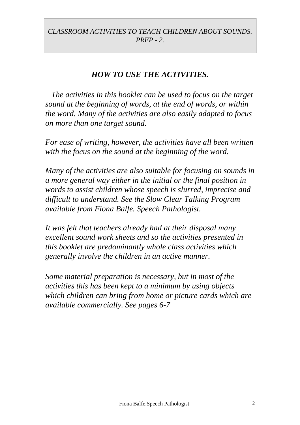## *HOW TO USE THE ACTIVITIES.*

*The activities in this booklet can be used to focus on the target sound at the beginning of words, at the end of words, or within the word. Many of the activities are also easily adapted to focus on more than one target sound.*

*For ease of writing, however, the activities have all been written with the focus on the sound at the beginning of the word.*

*Many of the activities are also suitable for focusing on sounds in a more general way either in the initial or the final position in words to assist children whose speech is slurred, imprecise and difficult to understand. See the Slow Clear Talking Program available from Fiona Balfe. Speech Pathologist.*

*It was felt that teachers already had at their disposal many excellent sound work sheets and so the activities presented in this booklet are predominantly whole class activities which generally involve the children in an active manner.*

*Some material preparation is necessary, but in most of the activities this has been kept to a minimum by using objects which children can bring from home or picture cards which are available commercially. See pages 6-7*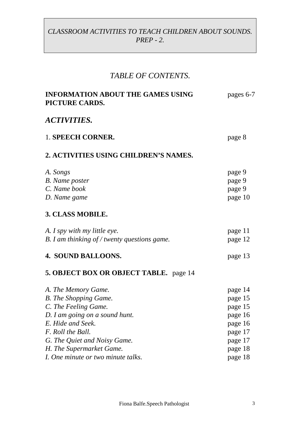# *TABLE OF CONTENTS.*

| <b>INFORMATION ABOUT THE GAMES USING</b><br>PICTURE CARDS. | pages 6-7 |
|------------------------------------------------------------|-----------|
| <i>ACTIVITIES.</i>                                         |           |
| 1. SPEECH CORNER.                                          | page 8    |
| 2. ACTIVITIES USING CHILDREN'S NAMES.                      |           |
| A. Songs                                                   | page 9    |
| <b>B.</b> Name poster                                      | page 9    |
| C. Name book                                               | page 9    |
| D. Name game                                               | page 10   |
| 3. CLASS MOBILE.                                           |           |
| A. I spy with my little eye.                               | page 11   |
| B. I am thinking of / twenty questions game.               | page 12   |
| 4. SOUND BALLOONS.                                         | page 13   |
| 5. OBJECT BOX OR OBJECT TABLE. page 14                     |           |
| A. The Memory Game.                                        | page 14   |
| <b>B.</b> The Shopping Game.                               | page 15   |
| C. The Feeling Game.                                       | page 15   |
| D. I am going on a sound hunt.                             | page 16   |
| E. Hide and Seek.                                          | page 16   |
| F. Roll the Ball.                                          | page 17   |
| G. The Quiet and Noisy Game.                               | page 17   |
| H. The Supermarket Game.                                   | page 18   |
| I. One minute or two minute talks.                         | page 18   |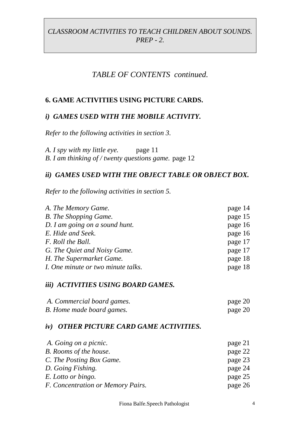## *TABLE OF CONTENTS continued.*

#### **6. GAME ACTIVITIES USING PICTURE CARDS.**

#### *i) GAMES USED WITH THE MOBILE ACTIVITY.*

*Refer to the following activities in section 3.*

*A. I spy with my little eye.* page 11 *B. I am thinking of / twenty questions game.* page 12

#### *ii) GAMES USED WITH THE OBJECT TABLE OR OBJECT BOX.*

*Refer to the following activities in section 5.*

| A. The Memory Game.                | page 14 |
|------------------------------------|---------|
| <b>B.</b> The Shopping Game.       | page 15 |
| D. I am going on a sound hunt.     | page 16 |
| E. Hide and Seek.                  | page 16 |
| F. Roll the Ball.                  | page 17 |
| G. The Quiet and Noisy Game.       | page 17 |
| H. The Supermarket Game.           | page 18 |
| I. One minute or two minute talks. | page 18 |

#### *iii) ACTIVITIES USING BOARD GAMES.*

| A. Commercial board games. | page 20 |
|----------------------------|---------|
| B. Home made board games.  | page 20 |

#### *iv) OTHER PICTURE CARD GAME ACTIVITIES.*

| A. Going on a picnic.             | page 21 |
|-----------------------------------|---------|
| B. Rooms of the house.            | page 22 |
| C. The Posting Box Game.          | page 23 |
| D. Going Fishing.                 | page 24 |
| E. Lotto or bingo.                | page 25 |
| F. Concentration or Memory Pairs. | page 26 |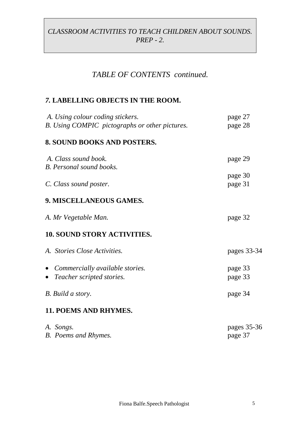## *TABLE OF CONTENTS continued.*

#### *7.* **LABELLING OBJECTS IN THE ROOM.**

| A. Using colour coding stickers.                                            | page 27                |
|-----------------------------------------------------------------------------|------------------------|
| B. Using COMPIC pictographs or other pictures.                              | page 28                |
| 8. SOUND BOOKS AND POSTERS.                                                 |                        |
| A. Class sound book.<br><b>B.</b> Personal sound books.                     | page 29                |
| C. Class sound poster.                                                      | page 30<br>page 31     |
| 9. MISCELLANEOUS GAMES.                                                     |                        |
| A. Mr Vegetable Man.                                                        | page 32                |
| <b>10. SOUND STORY ACTIVITIES.</b>                                          |                        |
| A. Stories Close Activities.                                                | pages 33-34            |
| • Commercially available stories.<br>Teacher scripted stories.<br>$\bullet$ | page 33<br>page 33     |
| B. Build a story.                                                           | page 34                |
| <b>11. POEMS AND RHYMES.</b>                                                |                        |
| A. Songs.<br><b>B.</b> Poems and Rhymes.                                    | pages 35-36<br>page 37 |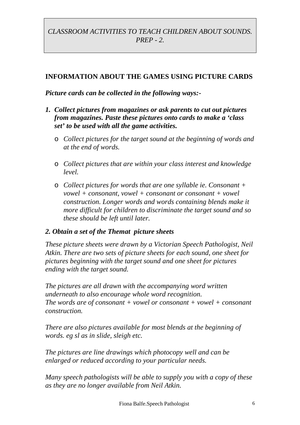#### **INFORMATION ABOUT THE GAMES USING PICTURE CARDS**

#### *Picture cards can be collected in the following ways:-*

- *1. Collect pictures from magazines or ask parents to cut out pictures from magazines. Paste these pictures onto cards to make a 'class set' to be used with all the game activities.*
	- o *Collect pictures for the target sound at the beginning of words and at the end of words.*
	- o *Collect pictures that are within your class interest and knowledge level.*
	- o *Collect pictures for words that are one syllable ie. Consonant + vowel + consonant, vowel + consonant or consonant + vowel construction. Longer words and words containing blends make it more difficult for children to discriminate the target sound and so these should be left until later.*

#### *2. Obtain a set of the Themat picture sheets*

*These picture sheets were drawn by a Victorian Speech Pathologist, Neil Atkin. There are two sets of picture sheets for each sound, one sheet for pictures beginning with the target sound and one sheet for pictures ending with the target sound.*

*The pictures are all drawn with the accompanying word written underneath to also encourage whole word recognition. The words are of consonant + vowel or consonant + vowel + consonant construction.*

*There are also pictures available for most blends at the beginning of words. eg sl as in slide, sleigh etc.*

*The pictures are line drawings which photocopy well and can be enlarged or reduced according to your particular needs.*

*Many speech pathologists will be able to supply you with a copy of these as they are no longer available from Neil Atkin.*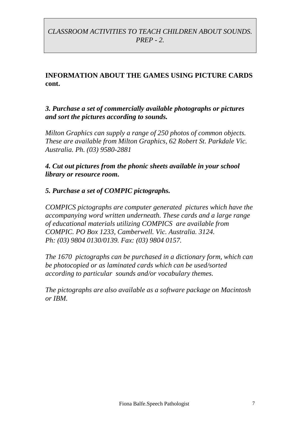## **INFORMATION ABOUT THE GAMES USING PICTURE CARDS cont.**

*3. Purchase a set of commercially available photographs or pictures and sort the pictures according to sounds.*

*Milton Graphics can supply a range of 250 photos of common objects. These are available from Milton Graphics, 62 Robert St. Parkdale Vic. Australia. Ph. (03) 9580-2881*

*4. Cut out pictures from the phonic sheets available in your school library or resource room.*

#### *5. Purchase a set of COMPIC pictographs.*

*COMPICS pictographs are computer generated pictures which have the accompanying word written underneath. These cards and a large range of educational materials utilizing COMPICS are available from COMPIC. PO Box 1233, Camberwell. Vic. Australia. 3124. Ph: (03) 9804 0130/0139. Fax: (03) 9804 0157.*

*The 1670 pictographs can be purchased in a dictionary form, which can be photocopied or as laminated cards which can be used/sorted according to particular sounds and/or vocabulary themes.*

*The pictographs are also available as a software package on Macintosh or IBM.*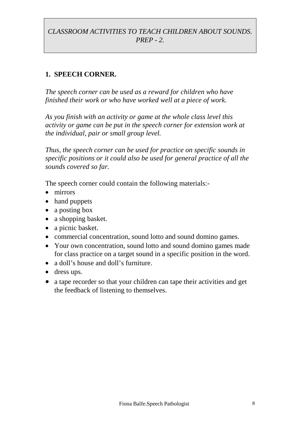## **1. SPEECH CORNER.**

*The speech corner can be used as a reward for children who have finished their work or who have worked well at a piece of work.*

*As you finish with an activity or game at the whole class level this activity or game can be put in the speech corner for extension work at the individual, pair or small group level.*

*Thus, the speech corner can be used for practice on specific sounds in specific positions or it could also be used for general practice of all the sounds covered so far.*

The speech corner could contain the following materials:-

- mirrors
- hand puppets
- a posting box
- a shopping basket.
- a picnic basket.
- commercial concentration, sound lotto and sound domino games.
- Your own concentration, sound lotto and sound domino games made for class practice on a target sound in a specific position in the word.
- a doll's house and doll's furniture.
- dress ups.
- a tape recorder so that your children can tape their activities and get the feedback of listening to themselves.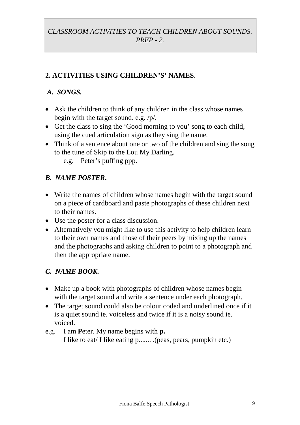## **2. ACTIVITIES USING CHILDREN'S' NAMES**.

#### *A. SONGS.*

- Ask the children to think of any children in the class whose names begin with the target sound. e.g. /p/.
- Get the class to sing the 'Good morning to you' song to each child, using the cued articulation sign as they sing the name.
- Think of a sentence about one or two of the children and sing the song to the tune of Skip to the Lou My Darling. e.g. Peter's puffing ppp.
	-

#### *B. NAME POSTER***.**

- Write the names of children whose names begin with the target sound on a piece of cardboard and paste photographs of these children next to their names.
- Use the poster for a class discussion.
- Alternatively you might like to use this activity to help children learn to their own names and those of their peers by mixing up the names and the photographs and asking children to point to a photograph and then the appropriate name.

#### *C. NAME BOOK.*

- Make up a book with photographs of children whose names begin with the target sound and write a sentence under each photograph.
- The target sound could also be colour coded and underlined once if it is a quiet sound ie. voiceless and twice if it is a noisy sound ie. voiced.
- e.g. I am **P**eter. My name begins with **p.** I like to eat/ I like eating p....... .(peas, pears, pumpkin etc.)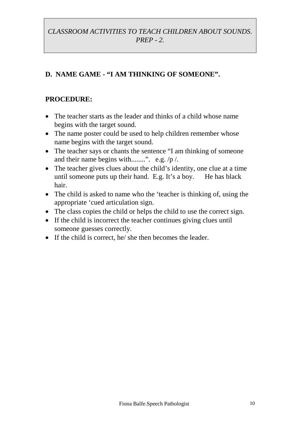## **D. NAME GAME - "I AM THINKING OF SOMEONE".**

- The teacher starts as the leader and thinks of a child whose name begins with the target sound.
- The name poster could be used to help children remember whose name begins with the target sound.
- The teacher says or chants the sentence "I am thinking of someone" and their name begins with........". e.g.  $/p /$ .
- The teacher gives clues about the child's identity, one clue at a time until someone puts up their hand. E.g. It's a boy. He has black hair.
- The child is asked to name who the 'teacher is thinking of, using the appropriate 'cued articulation sign.
- The class copies the child or helps the child to use the correct sign.
- If the child is incorrect the teacher continues giving clues until someone guesses correctly.
- If the child is correct, he/ she then becomes the leader.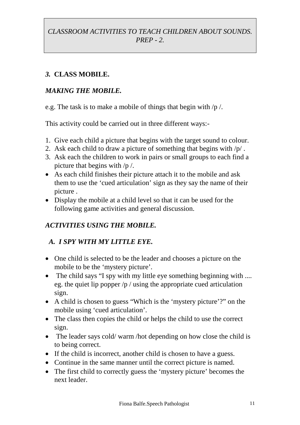## *3.* **CLASS MOBILE.**

## *MAKING THE MOBILE.*

e.g. The task is to make a mobile of things that begin with /p /.

This activity could be carried out in three different ways:-

- 1. Give each child a picture that begins with the target sound to colour.
- 2. Ask each child to draw a picture of something that begins with /p/ .
- 3. Ask each the children to work in pairs or small groups to each find a picture that begins with /p /.
- As each child finishes their picture attach it to the mobile and ask them to use the 'cued articulation' sign as they say the name of their picture .
- Display the mobile at a child level so that it can be used for the following game activities and general discussion.

## *ACTIVITIES USING THE MOBILE.*

## *A. I SPY WITH MY LITTLE EYE.*

- One child is selected to be the leader and chooses a picture on the mobile to be the 'mystery picture'.
- The child says "I spy with my little eye something beginning with .... eg. the quiet lip popper /p / using the appropriate cued articulation sign.
- A child is chosen to guess "Which is the 'mystery picture'?" on the mobile using 'cued articulation'.
- The class then copies the child or helps the child to use the correct sign.
- The leader says cold/warm/hot depending on how close the child is to being correct.
- If the child is incorrect, another child is chosen to have a guess.
- Continue in the same manner until the correct picture is named.
- The first child to correctly guess the 'mystery picture' becomes the next leader.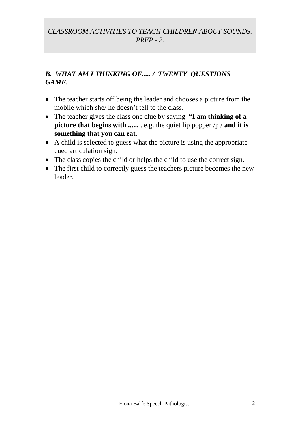## *B. WHAT AM I THINKING OF..... / TWENTY QUESTIONS GAME.*

- The teacher starts off being the leader and chooses a picture from the mobile which she/ he doesn't tell to the class.
- The teacher gives the class one clue by saying **"I am thinking of a picture that begins with ......** . e.g. the quiet lip popper /p / **and it is something that you can eat.**
- A child is selected to guess what the picture is using the appropriate cued articulation sign.
- The class copies the child or helps the child to use the correct sign.
- The first child to correctly guess the teachers picture becomes the new leader.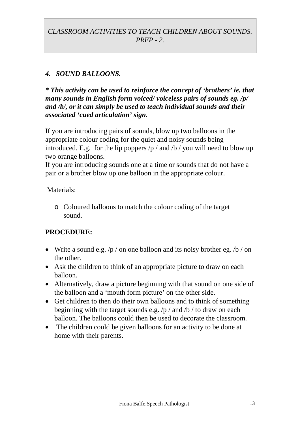## *4. SOUND BALLOONS.*

*\* This activity can be used to reinforce the concept of 'brothers' ie. that many sounds in English form voiced/ voiceless pairs of sounds eg. /p/ and /b/, or it can simply be used to teach individual sounds and their associated 'cued articulation' sign.*

If you are introducing pairs of sounds, blow up two balloons in the appropriate colour coding for the quiet and noisy sounds being introduced. E.g. for the lip poppers  $/p /$  and  $/b /$  you will need to blow up two orange balloons.

If you are introducing sounds one at a time or sounds that do not have a pair or a brother blow up one balloon in the appropriate colour.

Materials<sup>.</sup>

o Coloured balloons to match the colour coding of the target sound.

- Write a sound e.g.  $/p /$  on one balloon and its noisy brother eg.  $/b /$  on the other.
- Ask the children to think of an appropriate picture to draw on each balloon.
- Alternatively, draw a picture beginning with that sound on one side of the balloon and a 'mouth form picture' on the other side.
- Get children to then do their own balloons and to think of something beginning with the target sounds e.g. /p / and /b / to draw on each balloon. The balloons could then be used to decorate the classroom.
- The children could be given balloons for an activity to be done at home with their parents.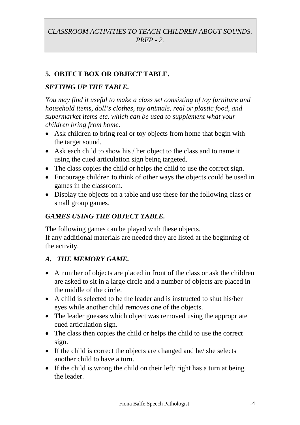## **5. OBJECT BOX OR OBJECT TABLE.**

#### *SETTING UP THE TABLE.*

*You may find it useful to make a class set consisting of toy furniture and household items, doll's clothes, toy animals, real or plastic food, and supermarket items etc. which can be used to supplement what your children bring from home.*

- Ask children to bring real or toy objects from home that begin with the target sound.
- Ask each child to show his / her object to the class and to name it using the cued articulation sign being targeted.
- The class copies the child or helps the child to use the correct sign.
- Encourage children to think of other ways the objects could be used in games in the classroom.
- Display the objects on a table and use these for the following class or small group games.

## *GAMES USING THE OBJECT TABLE.*

The following games can be played with these objects. If any additional materials are needed they are listed at the beginning of the activity.

### *A. THE MEMORY GAME.*

- A number of objects are placed in front of the class or ask the children are asked to sit in a large circle and a number of objects are placed in the middle of the circle.
- A child is selected to be the leader and is instructed to shut his/her eyes while another child removes one of the objects.
- The leader guesses which object was removed using the appropriate cued articulation sign.
- The class then copies the child or helps the child to use the correct sign.
- If the child is correct the objects are changed and he/ she selects another child to have a turn.
- If the child is wrong the child on their left/ right has a turn at being the leader.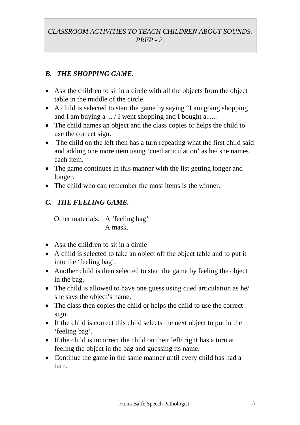## *B. THE SHOPPING GAME.*

- Ask the children to sit in a circle with all the objects from the object table in the middle of the circle.
- A child is selected to start the game by saying "I am going shopping and I am buying a ... / I went shopping and I bought a......
- The child names an object and the class copies or helps the child to use the correct sign.
- The child on the left then has a turn repeating what the first child said and adding one more item using 'cued articulation' as he/ she names each item.
- The game continues in this manner with the list getting longer and longer.
- The child who can remember the most items is the winner.

## *C. THE FEELING GAME.*

Other materials: A 'feeling bag' A mask.

- Ask the children to sit in a circle
- A child is selected to take an object off the object table and to put it into the 'feeling bag'.
- Another child is then selected to start the game by feeling the object in the bag.
- The child is allowed to have one guess using cued articulation as he/ she says the object's name.
- The class then copies the child or helps the child to use the correct sign.
- If the child is correct this child selects the next object to put in the 'feeling bag'.
- If the child is incorrect the child on their left/ right has a turn at feeling the object in the bag and guessing its name.
- Continue the game in the same manner until every child has had a turn.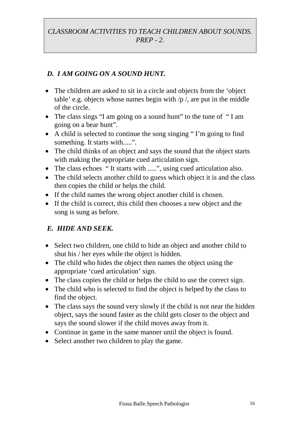## *D. I AM GOING ON A SOUND HUNT.*

- The children are asked to sit in a circle and objects from the 'object' table' e.g. objects whose names begin with  $/p /$ , are put in the middle of the circle.
- The class sings "I am going on a sound hunt" to the tune of "I am going on a bear hunt".
- A child is selected to continue the song singing " I'm going to find something. It starts with.....".
- The child thinks of an object and says the sound that the object starts with making the appropriate cued articulation sign.
- The class echoes "It starts with .....", using cued articulation also.
- The child selects another child to guess which object it is and the class then copies the child or helps the child.
- If the child names the wrong object another child is chosen.
- If the child is correct, this child then chooses a new object and the song is sung as before.

### *E. HIDE AND SEEK.*

- Select two children, one child to hide an object and another child to shut his / her eyes while the object is hidden.
- The child who hides the object then names the object using the appropriate 'cued articulation' sign.
- The class copies the child or helps the child to use the correct sign.
- The child who is selected to find the object is helped by the class to find the object.
- The class says the sound very slowly if the child is not near the hidden object, says the sound faster as the child gets closer to the object and says the sound slower if the child moves away from it.
- Continue in game in the same manner until the object is found.
- Select another two children to play the game.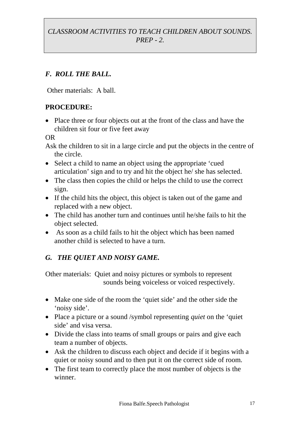## *F. ROLL THE BALL.*

Other materials: A ball.

## **PROCEDURE:**

• Place three or four objects out at the front of the class and have the children sit four or five feet away

OR

Ask the children to sit in a large circle and put the objects in the centre of the circle.

- Select a child to name an object using the appropriate 'cued articulation' sign and to try and hit the object he/ she has selected.
- The class then copies the child or helps the child to use the correct sign.
- If the child hits the object, this object is taken out of the game and replaced with a new object.
- The child has another turn and continues until he/she fails to hit the object selected.
- As soon as a child fails to hit the object which has been named another child is selected to have a turn.

## *G. THE QUIET AND NOISY GAME.*

Other materials: Quiet and noisy pictures or symbols to represent sounds being voiceless or voiced respectively.

- Make one side of the room the 'quiet side' and the other side the 'noisy side'.
- Place a picture or a sound /symbol representing *quiet* on the 'quiet' side' and visa versa.
- Divide the class into teams of small groups or pairs and give each team a number of objects.
- Ask the children to discuss each object and decide if it begins with a quiet or noisy sound and to then put it on the correct side of room.
- The first team to correctly place the most number of objects is the winner.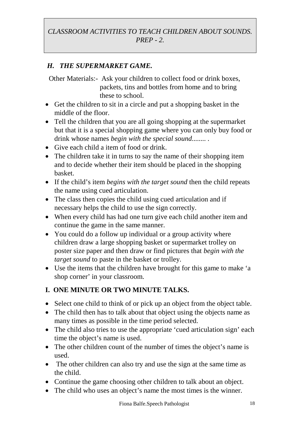## *H. THE SUPERMARKET GAME.*

Other Materials:- Ask your children to collect food or drink boxes, packets, tins and bottles from home and to bring these to school.

- Get the children to sit in a circle and put a shopping basket in the middle of the floor.
- Tell the children that you are all going shopping at the supermarket but that it is a special shopping game where you can only buy food or drink whose names *begin with the special sound........ .*
- Give each child a item of food or drink.
- The children take it in turns to say the name of their shopping item and to decide whether their item should be placed in the shopping basket.
- If the child's item *begins with the target sound* then the child repeats the name using cued articulation.
- The class then copies the child using cued articulation and if necessary helps the child to use the sign correctly.
- When every child has had one turn give each child another item and continue the game in the same manner.
- You could do a follow up individual or a group activity where children draw a large shopping basket or supermarket trolley on poster size paper and then draw or find pictures that *begin with the target sound* to paste in the basket or trolley.
- Use the items that the children have brought for this game to make 'a shop corner' in your classroom.

## **I. ONE MINUTE OR TWO MINUTE TALKS.**

- Select one child to think of or pick up an object from the object table.
- The child then has to talk about that object using the objects name as many times as possible in the time period selected.
- The child also tries to use the appropriate 'cued articulation sign' each time the object's name is used.
- The other children count of the number of times the object's name is used.
- The other children can also try and use the sign at the same time as the child.
- Continue the game choosing other children to talk about an object.
- The child who uses an object's name the most times is the winner.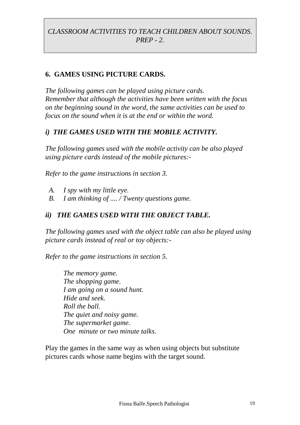#### **6. GAMES USING PICTURE CARDS.**

*The following games can be played using picture cards. Remember that although the activities have been written with the focus on the beginning sound in the word, the same activities can be used to focus on the sound when it is at the end or within the word.*

#### *i) THE GAMES USED WITH THE MOBILE ACTIVITY.*

*The following games used with the mobile activity can be also played using picture cards instead of the mobile pictures:-*

*Refer to the game instructions in section 3.*

- *A. I spy with my little eye.*
- *B. I am thinking of .... / Twenty questions game.*

#### *ii) THE GAMES USED WITH THE OBJECT TABLE.*

*The following games used with the object table can also be played using picture cards instead of real or toy objects:-*

*Refer to the game instructions in section 5.*

*The memory game. The shopping game. I am going on a sound hunt. Hide and seek. Roll the ball. The quiet and noisy game. The supermarket game. One minute or two minute talks.*

Play the games in the same way as when using objects but substitute pictures cards whose name begins with the target sound.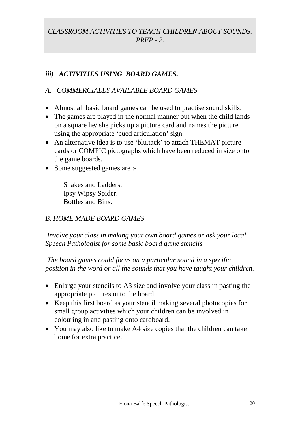## *iii) ACTIVITIES USING BOARD GAMES.*

### *A. COMMERCIALLY AVAILABLE BOARD GAMES.*

- Almost all basic board games can be used to practise sound skills.
- The games are played in the normal manner but when the child lands on a square he/ she picks up a picture card and names the picture using the appropriate 'cued articulation' sign.
- An alternative idea is to use 'blu.tack' to attach THEMAT picture cards or COMPIC pictographs which have been reduced in size onto the game boards.
- Some suggested games are :-

Snakes and Ladders. Ipsy Wipsy Spider. Bottles and Bins.

### *B. HOME MADE BOARD GAMES.*

*Involve your class in making your own board games or ask your local Speech Pathologist for some basic board game stencils.*

*The board games could focus on a particular sound in a specific position in the word or all the sounds that you have taught your children.*

- Enlarge your stencils to A3 size and involve your class in pasting the appropriate pictures onto the board.
- Keep this first board as your stencil making several photocopies for small group activities which your children can be involved in colouring in and pasting onto cardboard.
- You may also like to make A4 size copies that the children can take home for extra practice.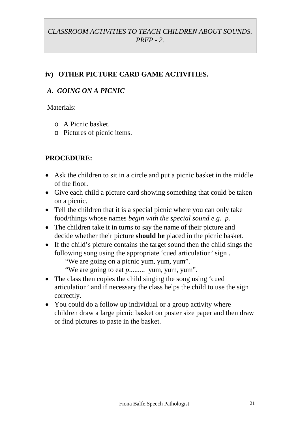## **iv) OTHER PICTURE CARD GAME ACTIVITIES.**

#### *A. GOING ON A PICNIC*

Materials:

- o A Picnic basket.
- o Pictures of picnic items.

- Ask the children to sit in a circle and put a picnic basket in the middle of the floor.
- Give each child a picture card showing something that could be taken on a picnic.
- Tell the children that it is a special picnic where you can only take food/things whose names *begin with the special sound e.g. p.*
- The children take it in turns to say the name of their picture and decide whether their picture **should be** placed in the picnic basket.
- If the child's picture contains the target sound then the child sings the following song using the appropriate 'cued articulation' sign . "We are going on a picnic yum, yum, yum".
	- "We are going to eat *p*......... yum, yum, yum".
- The class then copies the child singing the song using 'cued articulation' and if necessary the class helps the child to use the sign correctly.
- You could do a follow up individual or a group activity where children draw a large picnic basket on poster size paper and then draw or find pictures to paste in the basket.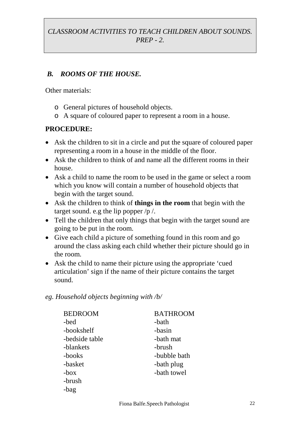### *B. ROOMS OF THE HOUSE.*

Other materials:

- o General pictures of household objects.
- o A square of coloured paper to represent a room in a house.

#### **PROCEDURE:**

- Ask the children to sit in a circle and put the square of coloured paper representing a room in a house in the middle of the floor.
- Ask the children to think of and name all the different rooms in their house.
- Ask a child to name the room to be used in the game or select a room which you know will contain a number of household objects that begin with the target sound.
- Ask the children to think of **things in the room** that begin with the target sound. e.g the lip popper  $/p /$ .
- Tell the children that only things that begin with the target sound are going to be put in the room.
- Give each child a picture of something found in this room and go around the class asking each child whether their picture should go in the room.
- Ask the child to name their picture using the appropriate 'cued articulation' sign if the name of their picture contains the target sound.

#### *eg. Household objects beginning with /b/*

| <b>BEDROOM</b> | <b>BATHROOM</b> |
|----------------|-----------------|
| -bed           | -bath           |
| -bookshelf     | -basin          |
| -bedside table | -bath mat       |
| -blankets      | -brush          |
| -books         | -bubble bath    |
| -basket        | -bath plug      |
| $-box$         | -bath towel     |
| -brush         |                 |
| -bag           |                 |
|                |                 |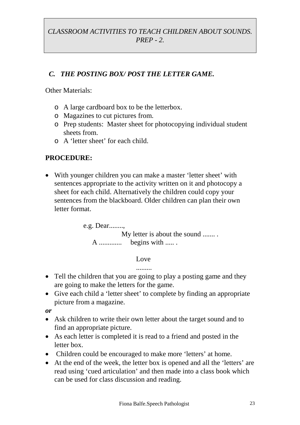## *C. THE POSTING BOX/ POST THE LETTER GAME.*

Other Materials:

- o A large cardboard box to be the letterbox.
- o Magazines to cut pictures from.
- o Prep students: Master sheet for photocopying individual student sheets from.
- o A 'letter sheet' for each child.

## **PROCEDURE:**

 With younger children you can make a master 'letter sheet' with sentences appropriate to the activity written on it and photocopy a sheet for each child. Alternatively the children could copy your sentences from the blackboard. Older children can plan their own letter format.

> e.g. Dear........, My letter is about the sound ....... . A ............. begins with ..... .

> > Love

.........

- Tell the children that you are going to play a posting game and they are going to make the letters for the game.
- Give each child a 'letter sheet' to complete by finding an appropriate picture from a magazine.

*or*

- Ask children to write their own letter about the target sound and to find an appropriate picture.
- As each letter is completed it is read to a friend and posted in the letter box.
- Children could be encouraged to make more 'letters' at home.
- At the end of the week, the letter box is opened and all the 'letters' are read using 'cued articulation' and then made into a class book which can be used for class discussion and reading.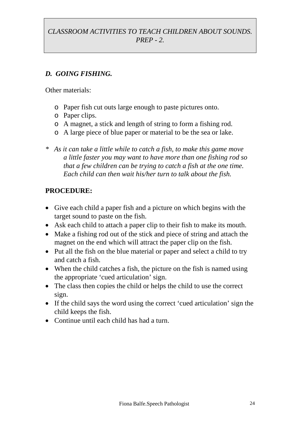## *D. GOING FISHING.*

Other materials:

- o Paper fish cut outs large enough to paste pictures onto.
- o Paper clips.
- o A magnet, a stick and length of string to form a fishing rod.
- o A large piece of blue paper or material to be the sea or lake.
- *\* As it can take a little while to catch a fish, to make this game move a little faster you may want to have more than one fishing rod so that a few children can be trying to catch a fish at the one time. Each child can then wait his/her turn to talk about the fish.*

- Give each child a paper fish and a picture on which begins with the target sound to paste on the fish.
- Ask each child to attach a paper clip to their fish to make its mouth.
- Make a fishing rod out of the stick and piece of string and attach the magnet on the end which will attract the paper clip on the fish.
- Put all the fish on the blue material or paper and select a child to try and catch a fish.
- When the child catches a fish, the picture on the fish is named using the appropriate 'cued articulation' sign.
- The class then copies the child or helps the child to use the correct sign.
- If the child says the word using the correct 'cued articulation' sign the child keeps the fish.
- Continue until each child has had a turn.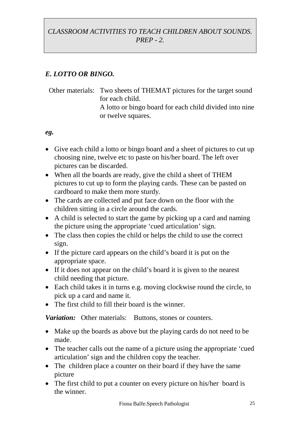## *E. LOTTO OR BINGO.*

Other materials: Two sheets of THEMAT pictures for the target sound for each child. A lotto or bingo board for each child divided into nine or twelve squares.

#### *eg.*

- Give each child a lotto or bingo board and a sheet of pictures to cut up choosing nine, twelve etc to paste on his/her board. The left over pictures can be discarded.
- When all the boards are ready, give the child a sheet of THEM pictures to cut up to form the playing cards. These can be pasted on cardboard to make them more sturdy.
- The cards are collected and put face down on the floor with the children sitting in a circle around the cards.
- A child is selected to start the game by picking up a card and naming the picture using the appropriate 'cued articulation' sign.
- The class then copies the child or helps the child to use the correct sign.
- If the picture card appears on the child's board it is put on the appropriate space.
- If it does not appear on the child's board it is given to the nearest child needing that picture.
- Each child takes it in turns e.g. moving clockwise round the circle, to pick up a card and name it.
- The first child to fill their board is the winner.

*Variation:* Other materials: Buttons, stones or counters.

- Make up the boards as above but the playing cards do not need to be made.
- The teacher calls out the name of a picture using the appropriate 'cued' articulation' sign and the children copy the teacher.
- The children place a counter on their board if they have the same picture
- The first child to put a counter on every picture on his/her board is the winner.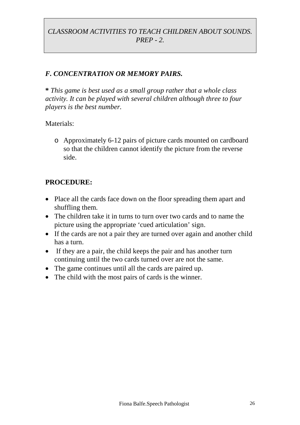### *F. CONCENTRATION OR MEMORY PAIRS.*

**\*** *This game is best used as a small group rather that a whole class activity. It can be played with several children although three to four players is the best number.*

#### Materials:

o Approximately 6-12 pairs of picture cards mounted on cardboard so that the children cannot identify the picture from the reverse side.

- Place all the cards face down on the floor spreading them apart and shuffling them.
- The children take it in turns to turn over two cards and to name the picture using the appropriate 'cued articulation' sign.
- If the cards are not a pair they are turned over again and another child has a turn.
- If they are a pair, the child keeps the pair and has another turn continuing until the two cards turned over are not the same.
- The game continues until all the cards are paired up.
- The child with the most pairs of cards is the winner.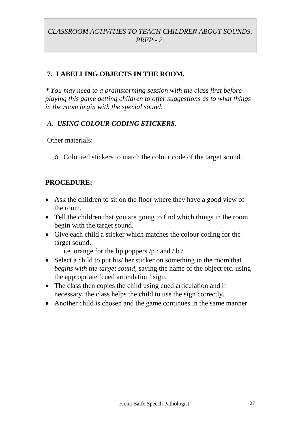## **7. LABELLING OBJECTS IN THE ROOM.**

*\* You may need to a brainstorming session with the class first before playing this game getting children to offer suggestions as to what things in the room begin with the special sound.*

#### *A. USING COLOUR CODING STICKERS.*

Other materials:

o Coloured stickers to match the colour code of the target sound.

#### **PROCEDURE:**

- Ask the children to sit on the floor where they have a good view of the room.
- Tell the children that you are going to find which things in the room begin with the target sound.
- Give each child a sticker which matches the colour coding for the target sound.

i.e. orange for the lip poppers  $/p /$  and  $/b /$ .

- Select a child to put his/ her sticker on something in the room that *begins with the target sound,* saying the name of the object etc. using the appropriate 'cued articulation' sign.
- The class then copies the child using cued articulation and if necessary, the class helps the child to use the sign correctly.
- Another child is chosen and the game continues in the same manner.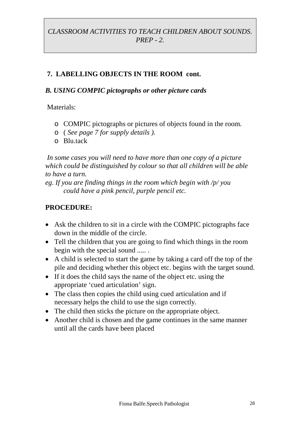## **7. LABELLING OBJECTS IN THE ROOM cont.**

#### *B. USING COMPIC pictographs or other picture cards*

Materials:

- o COMPIC pictographs or pictures of objects found in the room.
- o ( *See page 7 for supply details ).*
- $\circ$  Blu tack

*In some cases you will need to have more than one copy of a picture which could be distinguished by colour so that all children will be able to have a turn.*

*eg. If you are finding things in the room which begin with /p/ you could have a pink pencil, purple pencil etc.*

- Ask the children to sit in a circle with the COMPIC pictographs face down in the middle of the circle.
- Tell the children that you are going to find which things in the room begin with the special sound ..... .
- A child is selected to start the game by taking a card off the top of the pile and deciding whether this object etc. begins with the target sound.
- If it does the child says the name of the object etc. using the appropriate 'cued articulation' sign.
- The class then copies the child using cued articulation and if necessary helps the child to use the sign correctly.
- The child then sticks the picture on the appropriate object.
- Another child is chosen and the game continues in the same manner until all the cards have been placed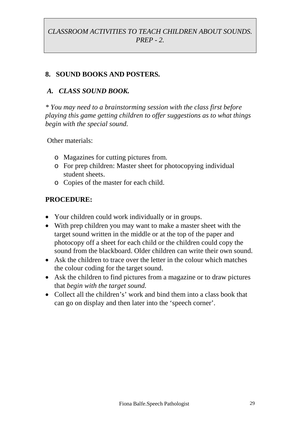#### **8. SOUND BOOKS AND POSTERS***.*

#### *A. CLASS SOUND BOOK.*

*\* You may need to a brainstorming session with the class first before playing this game getting children to offer suggestions as to what things begin with the special sound.*

Other materials:

- o Magazines for cutting pictures from.
- o For prep children: Master sheet for photocopying individual student sheets.
- o Copies of the master for each child.

- Your children could work individually or in groups.
- With prep children you may want to make a master sheet with the target sound written in the middle or at the top of the paper and photocopy off a sheet for each child or the children could copy the sound from the blackboard. Older children can write their own sound.
- Ask the children to trace over the letter in the colour which matches the colour coding for the target sound.
- Ask the children to find pictures from a magazine or to draw pictures that *begin with the target sound.*
- Collect all the children's' work and bind them into a class book that can go on display and then later into the 'speech corner'.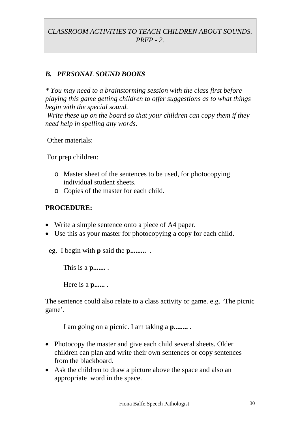#### *B. PERSONAL SOUND BOOKS*

*\* You may need to a brainstorming session with the class first before playing this game getting children to offer suggestions as to what things begin with the special sound.*

*Write these up on the board so that your children can copy them if they need help in spelling any words.*

Other materials:

For prep children:

- o Master sheet of the sentences to be used, for photocopying individual student sheets.
- o Copies of the master for each child.

#### **PROCEDURE:**

- Write a simple sentence onto a piece of A4 paper.
- Use this as your master for photocopying a copy for each child.

eg. I begin with **p** said the **p.........** .

This is a **p.......** .

Here is a **p......** .

The sentence could also relate to a class activity or game. e.g. 'The picnic game'.

I am going on a **p**icnic. I am taking a **p........** .

- Photocopy the master and give each child several sheets. Older children can plan and write their own sentences or copy sentences from the blackboard.
- Ask the children to draw a picture above the space and also an appropriate word in the space.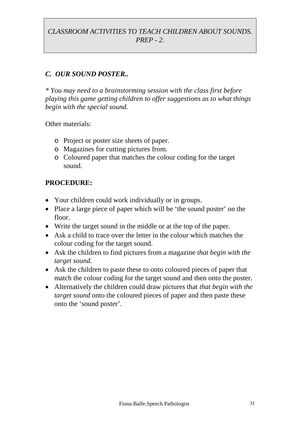#### *C. OUR SOUND POSTER..*

*\* You may need to a brainstorming session with the class first before playing this game getting children to offer suggestions as to what things begin with the special sound.*

Other materials:

- o Project or poster size sheets of paper.
- o Magazines for cutting pictures from.
- o Coloured paper that matches the colour coding for the target sound.

- Your children could work individually or in groups.
- Place a large piece of paper which will be 'the sound poster' on the floor.
- Write the target sound in the middle or at the top of the paper.
- Ask a child to trace over the letter in the colour which matches the colour coding for the target sound.
- Ask the children to find pictures from a magazine *that begin with the target sound.*
- Ask the children to paste these to onto coloured pieces of paper that match the colour coding for the target sound and then onto the poster.
- Alternatively the children could draw pictures that *that begin with the target sound* onto the coloured pieces of paper and then paste these onto the 'sound poster'.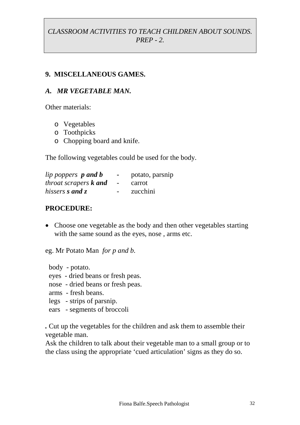#### **9. MISCELLANEOUS GAMES.**

#### *A. MR VEGETABLE MAN.*

Other materials:

- o Vegetables
- o Toothpicks
- o Chopping board and knife.

The following vegetables could be used for the body.

| lip poppers <b>p</b> and <b>b</b>   |                          | potato, parsnip |
|-------------------------------------|--------------------------|-----------------|
| <i>throat scrapers <b>k</b></i> and | $\overline{\phantom{0}}$ | carrot          |
| hissers <b>s</b> and z              | $-$                      | zucchini        |

#### **PROCEDURE:**

• Choose one vegetable as the body and then other vegetables starting with the same sound as the eyes, nose , arms etc.

eg. Mr Potato Man *for p and b.*

body - potato.

- eyes dried beans or fresh peas.
- nose dried beans or fresh peas.
- arms fresh beans.
- legs strips of parsnip.
- ears segments of broccoli

*.* Cut up the vegetables for the children and ask them to assemble their vegetable man.

Ask the children to talk about their vegetable man to a small group or to the class using the appropriate 'cued articulation' signs as they do so.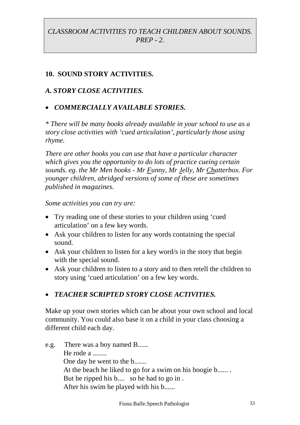### **10. SOUND STORY ACTIVITIES.**

#### *A. STORY CLOSE ACTIVITIES.*

#### *COMMERCIALLY AVAILABLE STORIES.*

*\* There will be many books already available in your school to use as a story close activities with 'cued articulation', particularly those using rhyme.*

*There are other books you can use that have a particular character which gives you the opportunity to do lots of practice cueing certain sounds. eg. the Mr Men books - Mr Funny, Mr Jelly, Mr Chatterbox. For younger children, abridged versions of some of these are sometimes published in magazines.*

*Some activities you can try are:*

- Try reading one of these stories to your children using 'cued articulation' on a few key words.
- Ask your children to listen for any words containing the special sound.
- Ask your children to listen for a key word/s in the story that begin with the special sound.
- Ask your children to listen to a story and to then retell the children to story using 'cued articulation' on a few key words.

### *TEACHER SCRIPTED STORY CLOSE ACTIVITIES.*

Make up your own stories which can be about your own school and local community. You could also base it on a child in your class choosing a different child each day.

e.g. There was a boy named B...... He rode a ....... One day he went to the b....... At the beach he liked to go for a swim on his boogie b...... . But he ripped his b.... so he had to go in . After his swim he played with his b......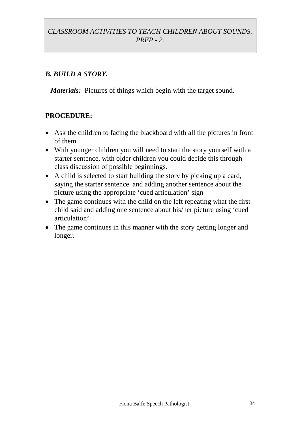#### *B. BUILD A STORY.*

*Materials:* Pictures of things which begin with the target sound.

- Ask the children to facing the blackboard with all the pictures in front of them.
- With younger children you will need to start the story yourself with a starter sentence, with older children you could decide this through class discussion of possible beginnings.
- A child is selected to start building the story by picking up a card, saying the starter sentence and adding another sentence about the picture using the appropriate 'cued articulation' sign
- The game continues with the child on the left repeating what the first child said and adding one sentence about his/her picture using 'cued articulation'.
- The game continues in this manner with the story getting longer and longer.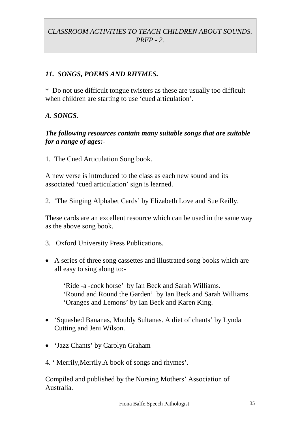#### *11. SONGS, POEMS AND RHYMES.*

\* Do not use difficult tongue twisters as these are usually too difficult when children are starting to use 'cued articulation'.

#### *A. SONGS.*

#### *The following resources contain many suitable songs that are suitable for a range of ages:-*

1. The Cued Articulation Song book.

A new verse is introduced to the class as each new sound and its associated 'cued articulation' sign is learned.

2. 'The Singing Alphabet Cards' by Elizabeth Love and Sue Reilly.

These cards are an excellent resource which can be used in the same way as the above song book.

- 3. Oxford University Press Publications.
- A series of three song cassettes and illustrated song books which are all easy to sing along to:-

'Ride -a -cock horse' by Ian Beck and Sarah Williams. 'Round and Round the Garden' by Ian Beck and Sarah Williams. 'Oranges and Lemons' by Ian Beck and Karen King.

- 'Squashed Bananas, Mouldy Sultanas. A diet of chants' by Lynda Cutting and Jeni Wilson.
- 'Jazz Chants' by Carolyn Graham
- 4. ' Merrily,Merrily.A book of songs and rhymes'.

Compiled and published by the Nursing Mothers' Association of Australia.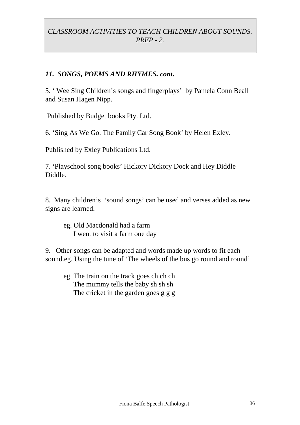#### *11. SONGS, POEMS AND RHYMES. cont.*

5. ' Wee Sing Children's songs and fingerplays' by Pamela Conn Beall and Susan Hagen Nipp.

Published by Budget books Pty. Ltd.

6. 'Sing As We Go. The Family Car Song Book' by Helen Exley.

Published by Exley Publications Ltd.

7. 'Playschool song books' Hickory Dickory Dock and Hey Diddle Diddle.

8. Many children's 'sound songs' can be used and verses added as new signs are learned.

eg. Old Macdonald had a farm I went to visit a farm one day

9. Other songs can be adapted and words made up words to fit each sound.eg. Using the tune of 'The wheels of the bus go round and round'

eg. The train on the track goes ch ch ch The mummy tells the baby sh sh sh The cricket in the garden goes g g g